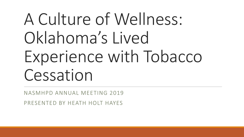# A Culture of Wellness: Oklahoma's Lived Experience with Tobacco Cessation

NASMHPD ANNUAL MEETING 2019

PRESENTED BY HEATH HOLT HAYES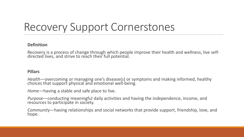## Recovery Support Cornerstones

#### **Definition**

Recovery is a process of change through which people improve their health and wellness, live selfdirected lives, and strive to reach their full potential.

#### **Pillars**

*Health*—overcoming or managing one's disease(s) or symptoms and making informed, healthy choices that support physical and emotional well-being.

*Home*—having a stable and safe place to live.

*Purpose*—conducting meaningful daily activities and having the independence, income, and resources to participate in society.

*Community*—having relationships and social networks that provide support, friendship, love, and hope.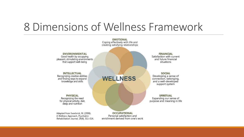### 8 Dimensions of Wellness Framework

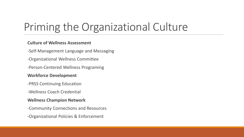## Priming the Organizational Culture

#### **Culture of Wellness Assessment**

-Self-Management Language and Messaging

- -Organizational Wellness Committee
- -Person-Centered Wellness Programing

#### **Workforce Development**

-PRSS Continuing Education

-Wellness Coach Credential

#### **Wellness Champion Network**

-Community Connections and Resources

-Organizational Policies & Enforcement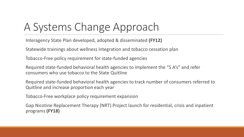### A Systems Change Approach

Interagency State Plan developed, adopted & disseminated **(FY12)**

Statewide trainings about wellness integration and tobacco cessation plan

Tobacco-Free policy requirement for state-funded agencies

Required state-funded behavioral health agencies to implement the "5 A's" and refer consumers who use tobacco to the State Quitline

Required state-funded behavioral health agencies to track number of consumers referred to Quitline and increase proportion each year

Tobacco-Free workplace policy requirement expansion

Gap Nicotine Replacement Therapy (NRT) Project launch for residential, crisis and inpatient programs **(FY18)**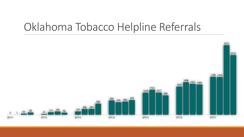### Oklahoma Tobacco Helpline Referrals

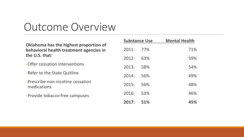### Outcome Overview

| Oklahoma has the highest proportion of<br>behavioral health treatment agencies in<br>the U.S. that: | <b>Substance Use</b> |     | <b>Mental Health</b> |     |
|-----------------------------------------------------------------------------------------------------|----------------------|-----|----------------------|-----|
|                                                                                                     | 2011:                | 77% |                      | 71% |
|                                                                                                     | 2012:                | 63% |                      | 59% |
| -Offer cessation interventions                                                                      | 2013:                | 58% |                      | 54% |
| - Refer to the State Quitline                                                                       | 2014:                | 56% |                      | 49% |
| -Prescribe non-nicotine cessation<br>medications                                                    | 2015:                | 56% |                      | 48% |
| -Provide tobacco-free campuses                                                                      | 2016:                | 53% |                      | 46% |
|                                                                                                     | 2017:                | 51% |                      | 45% |